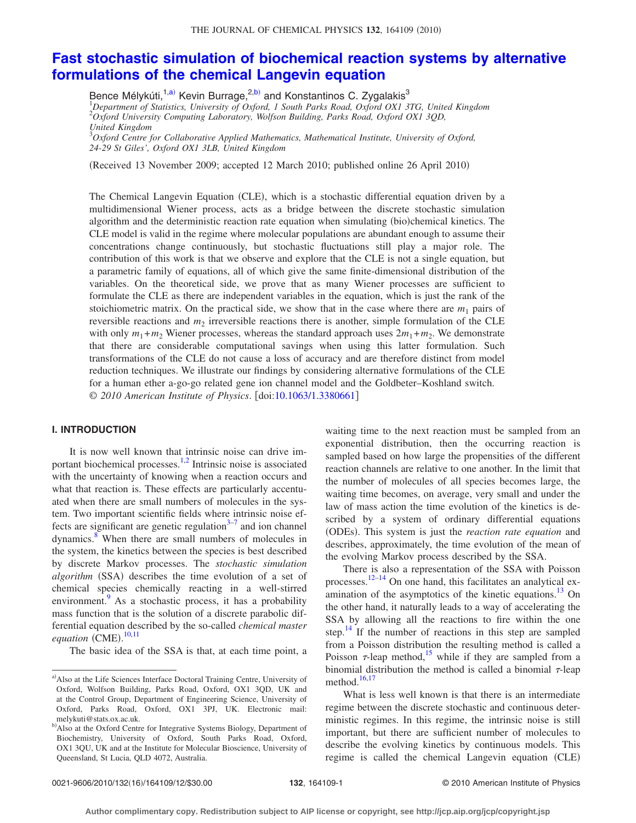### THE JOURNAL OF CHEMICAL PHYSICS 132, 164109 (2010)

# **[Fast stochastic simulation of biochemical reaction systems by alternative](http://dx.doi.org/10.1063/1.3380661) [formulations of the chemical Langevin equation](http://dx.doi.org/10.1063/1.3380661)**

Bence Mélykúti,<sup>1[,a](#page-0-0))</sup> Kevin Burrage,<sup>2[,b](#page-0-1))</sup> and Konstantinos C. Zygalakis<sup>3</sup> 1 *Department of Statistics, University of Oxford, 1 South Parks Road, Oxford OX1 3TG, United Kingdom* 2 *Oxford University Computing Laboratory, Wolfson Building, Parks Road, Oxford OX1 3QD, United Kingdom*

3 *Oxford Centre for Collaborative Applied Mathematics, Mathematical Institute, University of Oxford, 24-29 St Giles', Oxford OX1 3LB, United Kingdom*

(Received 13 November 2009; accepted 12 March 2010; published online 26 April 2010)

The Chemical Langevin Equation (CLE), which is a stochastic differential equation driven by a multidimensional Wiener process, acts as a bridge between the discrete stochastic simulation algorithm and the deterministic reaction rate equation when simulating (bio)chemical kinetics. The CLE model is valid in the regime where molecular populations are abundant enough to assume their concentrations change continuously, but stochastic fluctuations still play a major role. The contribution of this work is that we observe and explore that the CLE is not a single equation, but a parametric family of equations, all of which give the same finite-dimensional distribution of the variables. On the theoretical side, we prove that as many Wiener processes are sufficient to formulate the CLE as there are independent variables in the equation, which is just the rank of the stoichiometric matrix. On the practical side, we show that in the case where there are  $m_1$  pairs of reversible reactions and  $m<sub>2</sub>$  irreversible reactions there is another, simple formulation of the CLE with only  $m_1 + m_2$  Wiener processes, whereas the standard approach uses  $2m_1 + m_2$ . We demonstrate that there are considerable computational savings when using this latter formulation. Such transformations of the CLE do not cause a loss of accuracy and are therefore distinct from model reduction techniques. We illustrate our findings by considering alternative formulations of the CLE for a human ether a-go-go related gene ion channel model and the Goldbeter–Koshland switch. © *2010 American Institute of Physics*. doi[:10.1063/1.3380661](http://dx.doi.org/10.1063/1.3380661)

### **I. INTRODUCTION**

It is now well known that intrinsic noise can drive important biochemical processes. $1,2$  $1,2$  Intrinsic noise is associated with the uncertainty of knowing when a reaction occurs and what that reaction is. These effects are particularly accentuated when there are small numbers of molecules in the system. Two important scientific fields where intrinsic noise effects are significant are genetic regulation $3-7$  and ion channel dynamics[.8](#page-11-4) When there are small numbers of molecules in the system, the kinetics between the species is best described by discrete Markov processes. The *stochastic simulation* algorithm (SSA) describes the time evolution of a set of chemical species chemically reacting in a well-stirred environment.<sup>9</sup> As a stochastic process, it has a probability mass function that is the solution of a discrete parabolic differential equation described by the so-called *chemical master* equation (CME).<sup>[10,](#page-11-6)[11](#page-11-7)</sup>

The basic idea of the SSA is that, at each time point, a

waiting time to the next reaction must be sampled from an exponential distribution, then the occurring reaction is sampled based on how large the propensities of the different reaction channels are relative to one another. In the limit that the number of molecules of all species becomes large, the waiting time becomes, on average, very small and under the law of mass action the time evolution of the kinetics is described by a system of ordinary differential equations (ODEs). This system is just the *reaction rate equation* and describes, approximately, the time evolution of the mean of the evolving Markov process described by the SSA.

There is also a representation of the SSA with Poisson processes.<sup>[12–](#page-11-8)[14](#page-11-9)</sup> On one hand, this facilitates an analytical examination of the asymptotics of the kinetic equations. $^{13}$  On the other hand, it naturally leads to a way of accelerating the SSA by allowing all the reactions to fire within the one step.<sup>14</sup> If the number of reactions in this step are sampled from a Poisson distribution the resulting method is called a Poisson  $\tau$ -leap method,<sup>15</sup> while if they are sampled from a binomial distribution the method is called a binomial  $\tau$ -leap method.<sup>16,[17](#page-11-13)</sup>

What is less well known is that there is an intermediate regime between the discrete stochastic and continuous deterministic regimes. In this regime, the intrinsic noise is still important, but there are sufficient number of molecules to describe the evolving kinetics by continuous models. This regime is called the chemical Langevin equation (CLE)

<span id="page-0-0"></span>a) Also at the Life Sciences Interface Doctoral Training Centre, University of Oxford, Wolfson Building, Parks Road, Oxford, OX1 3QD, UK and at the Control Group, Department of Engineering Science, University of Oxford, Parks Road, Oxford, OX1 3PJ, UK. Electronic mail: melykuti@stats.ox.ac.uk.

<span id="page-0-1"></span>b) Also at the Oxford Centre for Integrative Systems Biology, Department of Biochemistry, University of Oxford, South Parks Road, Oxford, OX1 3QU, UK and at the Institute for Molecular Bioscience, University of Queensland, St Lucia, QLD 4072, Australia.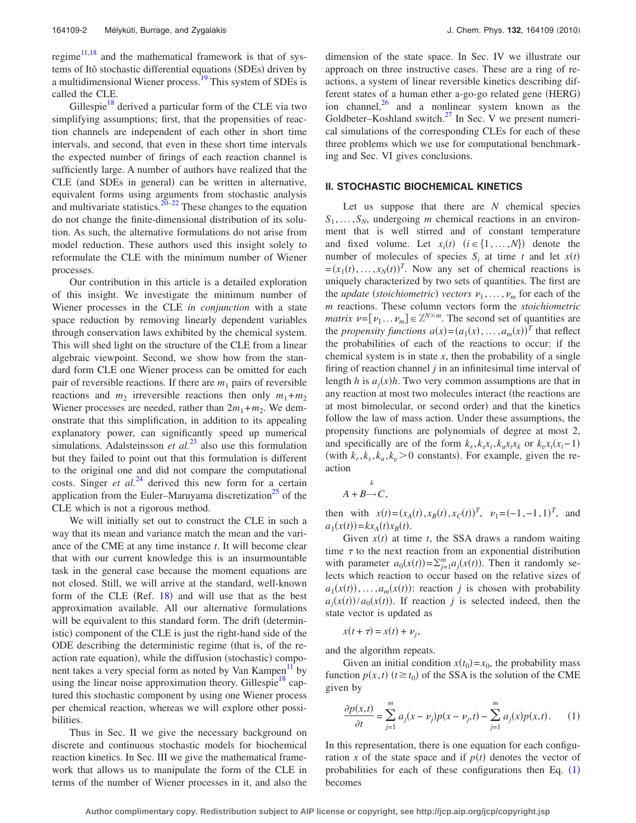regime $11,18$  $11,18$  and the mathematical framework is that of systems of Itô stochastic differential equations (SDEs) driven by a multidimensional Wiener process.<sup>19</sup> This system of SDEs is called the CLE.

Gillespie<sup>18</sup> derived a particular form of the CLE via two simplifying assumptions; first, that the propensities of reaction channels are independent of each other in short time intervals, and second, that even in these short time intervals the expected number of firings of each reaction channel is sufficiently large. A number of authors have realized that the CLE (and SDEs in general) can be written in alternative, equivalent forms using arguments from stochastic analysis and multivariate statistics.<sup>20[–22](#page-11-17)</sup> These changes to the equation do not change the finite-dimensional distribution of its solution. As such, the alternative formulations do not arise from model reduction. These authors used this insight solely to reformulate the CLE with the minimum number of Wiener processes.

Our contribution in this article is a detailed exploration of this insight. We investigate the minimum number of Wiener processes in the CLE *in conjunction* with a state space reduction by removing linearly dependent variables through conservation laws exhibited by the chemical system. This will shed light on the structure of the CLE from a linear algebraic viewpoint. Second, we show how from the standard form CLE one Wiener process can be omitted for each pair of reversible reactions. If there are  $m_1$  pairs of reversible reactions and  $m_2$  irreversible reactions then only  $m_1 + m_2$ Wiener processes are needed, rather than  $2m_1+m_2$ . We demonstrate that this simplification, in addition to its appealing explanatory power, can significantly speed up numerical simulations. Adalsteinsson *et al.*<sup>[23](#page-11-18)</sup> also use this formulation but they failed to point out that this formulation is different to the original one and did not compare the computational costs. Singer *et al.*[24](#page-11-19) derived this new form for a certain application from the Euler–Maruyama discretization $^{25}$  of the CLE which is not a rigorous method.

We will initially set out to construct the CLE in such a way that its mean and variance match the mean and the variance of the CME at any time instance *t*. It will become clear that with our current knowledge this is an insurmountable task in the general case because the moment equations are not closed. Still, we will arrive at the standard, well-known form of the CLE (Ref.  $18$ ) and will use that as the best approximation available. All our alternative formulations will be equivalent to this standard form. The drift (deterministic) component of the CLE is just the right-hand side of the ODE describing the deterministic regime (that is, of the reaction rate equation), while the diffusion (stochastic) component takes a very special form as noted by Van Kampen<sup>11</sup> by using the linear noise approximation theory. Gillespie<sup>18</sup> captured this stochastic component by using one Wiener process per chemical reaction, whereas we will explore other possibilities.

Thus in Sec. II we give the necessary background on discrete and continuous stochastic models for biochemical reaction kinetics. In Sec. III we give the mathematical framework that allows us to manipulate the form of the CLE in terms of the number of Wiener processes in it, and also the dimension of the state space. In Sec. IV we illustrate our approach on three instructive cases. These are a ring of reactions, a system of linear reversible kinetics describing different states of a human ether a-go-go related gene (HERG) ion channel, $26$  and a nonlinear system known as the Goldbeter–Koshland switch. $27$  In Sec. V we present numerical simulations of the corresponding CLEs for each of these three problems which we use for computational benchmarking and Sec. VI gives conclusions.

### **II. STOCHASTIC BIOCHEMICAL KINETICS**

Let us suppose that there are *N* chemical species  $S_1, \ldots, S_N$ , undergoing *m* chemical reactions in an environment that is well stirred and of constant temperature and fixed volume. Let  $x_i(t)$   $(i \in \{1, ..., N\})$  denote the number of molecules of species  $S_i$  at time *t* and let  $x(t)$  $=(x_1(t),...,x_N(t))^T$ . Now any set of chemical reactions is uniquely characterized by two sets of quantities. The first are the *update* (*stoichiometric*) *vectors*  $\nu_1, \ldots, \nu_m$  for each of the *m* reactions. These column vectors form the *stoichiometric matrix*  $\nu = [\nu_1 \dots \nu_m] \in \mathbb{Z}^{N \times m}$ . The second set of quantities are the *propensity functions*  $a(x) = (a_1(x), \dots, a_m(x))^T$  that reflect the probabilities of each of the reactions to occur: if the chemical system is in state  $x$ , then the probability of a single firing of reaction channel *j* in an infinitesimal time interval of length *h* is  $a_j(x)h$ . Two very common assumptions are that in any reaction at most two molecules interact (the reactions are at most bimolecular, or second order) and that the kinetics follow the law of mass action. Under these assumptions, the propensity functions are polynomials of degree at most 2, and specifically are of the form  $k_r, k_s x_i, k_u x_i x_k$  or  $k_v x_i(x_i-1)$ (with  $k_r, k_s, k_u, k_v > 0$  constants). For example, given the reaction

$$
A + B \rightarrow C,
$$

then with  $x(t) = (x_A(t), x_B(t), x_C(t))^T$ ,  $v_1 = (-1, -1, 1)^T$ , and  $a_1(x(t)) = kx_A(t)x_B(t).$ 

Given  $x(t)$  at time  $t$ , the SSA draws a random waiting time  $\tau$  to the next reaction from an exponential distribution with parameter  $a_0(x(t)) = \sum_{j=1}^m a_j(x(t))$ . Then it randomly selects which reaction to occur based on the relative sizes of  $a_1(x(t))$ , ...,  $a_m(x(t))$ : reaction *j* is chosen with probability  $a_j(x(t))/a_0(x(t))$ . If reaction *j* is selected indeed, then the state vector is updated as

$$
x(t+\tau) = x(t) + \nu_j,
$$

and the algorithm repeats.

Given an initial condition  $x(t_0) = x_0$ , the probability mass function  $p(x, t)$   $(t \ge t_0)$  of the SSA is the solution of the CME given by

<span id="page-1-0"></span>
$$
\frac{\partial p(x,t)}{\partial t} = \sum_{j=1}^{m} a_j (x - \nu_j) p(x - \nu_j, t) - \sum_{j=1}^{m} a_j(x) p(x,t).
$$
 (1)

In this representation, there is one equation for each configuration *x* of the state space and if  $p(t)$  denotes the vector of probabilities for each of these configurations then Eq.  $(1)$  $(1)$  $(1)$ becomes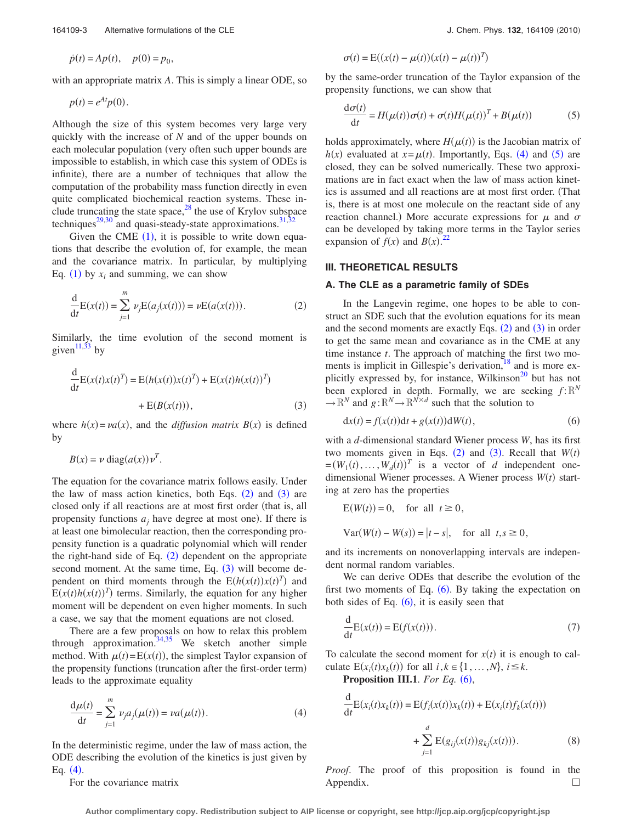$$
\dot{p}(t) = Ap(t), \quad p(0) = p_0,
$$

with an appropriate matrix *A*. This is simply a linear ODE, so

$$
p(t) = e^{At} p(0).
$$

Although the size of this system becomes very large very quickly with the increase of *N* and of the upper bounds on each molecular population (very often such upper bounds are impossible to establish, in which case this system of ODEs is infinite), there are a number of techniques that allow the computation of the probability mass function directly in even quite complicated biochemical reaction systems. These include truncating the state space, $^{28}$  the use of Krylov subspace techniques<sup>29[,30](#page-11-25)</sup> and quasi-steady-state approximations.<sup>31,[32](#page-11-27)</sup>

Given the CME  $(1)$  $(1)$  $(1)$ , it is possible to write down equations that describe the evolution of, for example, the mean and the covariance matrix. In particular, by multiplying Eq. ([1](#page-1-0)) by  $x_i$  and summing, we can show

<span id="page-2-0"></span>
$$
\frac{d}{dt}E(x(t)) = \sum_{j=1}^{m} \nu_j E(a_j(x(t))) = \nu E(a(x(t))).
$$
\n(2)

Similarly, the time evolution of the second moment is given<sup>11,[33](#page-11-28)</sup> by

<span id="page-2-1"></span>
$$
\frac{d}{dt}E(x(t)x(t)^{T}) = E(h(x(t))x(t)^{T}) + E(x(t)h(x(t))^{T})
$$

$$
+ E(B(x(t))), \qquad (3)
$$

where  $h(x) = va(x)$ , and the *diffusion matrix B* $(x)$  is defined by

$$
B(x) = \nu \operatorname{diag}(a(x)) \nu^T.
$$

The equation for the covariance matrix follows easily. Under the law of mass action kinetics, both Eqs.  $(2)$  $(2)$  $(2)$  and  $(3)$  $(3)$  $(3)$  are closed only if all reactions are at most first order (that is, all propensity functions  $a_j$  have degree at most one). If there is at least one bimolecular reaction, then the corresponding propensity function is a quadratic polynomial which will render the right-hand side of Eq.  $(2)$  $(2)$  $(2)$  dependent on the appropriate second moment. At the same time, Eq.  $(3)$  $(3)$  $(3)$  will become dependent on third moments through the  $E(h(x(t))x(t)^T)$  and  $E(x(t)h(x(t))$ <sup>T</sup>) terms. Similarly, the equation for any higher moment will be dependent on even higher moments. In such a case, we say that the moment equations are not closed.

There are a few proposals on how to relax this problem through approximation.  $34,35$  $34,35$  We sketch another simple method. With  $\mu(t) = E(x(t))$ , the simplest Taylor expansion of the propensity functions (truncation after the first-order term) leads to the approximate equality

<span id="page-2-2"></span>
$$
\frac{d\mu(t)}{dt} = \sum_{j=1}^{m} \nu_j a_j(\mu(t)) = \nu a(\mu(t)).
$$
 (4)

In the deterministic regime, under the law of mass action, the ODE describing the evolution of the kinetics is just given by Eq.  $(4)$  $(4)$  $(4)$ .

For the covariance matrix

$$
\sigma(t) = \mathbf{E}((x(t) - \mu(t))(x(t) - \mu(t))^T)
$$

<span id="page-2-3"></span>by the same-order truncation of the Taylor expansion of the propensity functions, we can show that

$$
\frac{d\sigma(t)}{dt} = H(\mu(t))\sigma(t) + \sigma(t)H(\mu(t))^T + B(\mu(t))
$$
\n(5)

holds approximately, where  $H(\mu(t))$  is the Jacobian matrix of  $h(x)$  evaluated at  $x = \mu(t)$ . Importantly, Eqs. ([4](#page-2-2)) and ([5](#page-2-3)) are closed, they can be solved numerically. These two approximations are in fact exact when the law of mass action kinetics is assumed and all reactions are at most first order. That is, there is at most one molecule on the reactant side of any reaction channel.) More accurate expressions for  $\mu$  and  $\sigma$ can be developed by taking more terms in the Taylor series expansion of  $f(x)$  and  $B(x)$ .<sup>[22](#page-11-17)</sup>

### **III. THEORETICAL RESULTS**

### **A. The CLE as a parametric family of SDEs**

In the Langevin regime, one hopes to be able to construct an SDE such that the evolution equations for its mean and the second moments are exactly Eqs.  $(2)$  $(2)$  $(2)$  and  $(3)$  $(3)$  $(3)$  in order to get the same mean and covariance as in the CME at any time instance *t*. The approach of matching the first two moments is implicit in Gillespie's derivation, $18$  and is more explicitly expressed by, for instance, Wilkinson<sup>20</sup> but has not been explored in depth. Formally, we are seeking  $f: \mathbb{R}^N$  $\rightarrow \mathbb{R}^N$  and  $g: \mathbb{R}^N \rightarrow \mathbb{R}^{N \times d}$  such that the solution to

$$
dx(t) = f(x(t))dt + g(x(t))dW(t),
$$
\n(6)

<span id="page-2-4"></span>with a *d*-dimensional standard Wiener process *W*, has its first two moments given in Eqs.  $(2)$  $(2)$  $(2)$  and  $(3)$  $(3)$  $(3)$ . Recall that  $W(t)$  $=(W_1(t),...,W_d(t))^T$  is a vector of *d* independent onedimensional Wiener processes. A Wiener process  $W(t)$  starting at zero has the properties

$$
E(W(t)) = 0, \text{ for all } t \ge 0,
$$
  
 
$$
Var(W(t) - W(s)) = |t - s|, \text{ for all } t, s \ge 0,
$$

and its increments on nonoverlapping intervals are independent normal random variables.

We can derive ODEs that describe the evolution of the first two moments of Eq.  $(6)$  $(6)$  $(6)$ . By taking the expectation on both sides of Eq.  $(6)$  $(6)$  $(6)$ , it is easily seen that

<span id="page-2-5"></span>
$$
\frac{d}{dt}E(x(t)) = E(f(x(t))).
$$
\n(7)

To calculate the second moment for  $x(t)$  it is enough to calculate  $E(x_i(t)x_k(t))$  for all  $i, k \in \{1, ..., N\}, i \leq k$ .

**Proposition III.1**. *For Eq.*  $(6)$  $(6)$  $(6)$ ,

<span id="page-2-6"></span>
$$
\frac{d}{dt}E(x_i(t)x_k(t)) = E(f_i(x(t))x_k(t)) + E(x_i(t)f_k(x(t)))
$$
\n
$$
+ \sum_{j=1}^d E(g_{ij}(x(t))g_{kj}(x(t))).
$$
\n(8)

*Proof*. The proof of this proposition is found in the Appendix.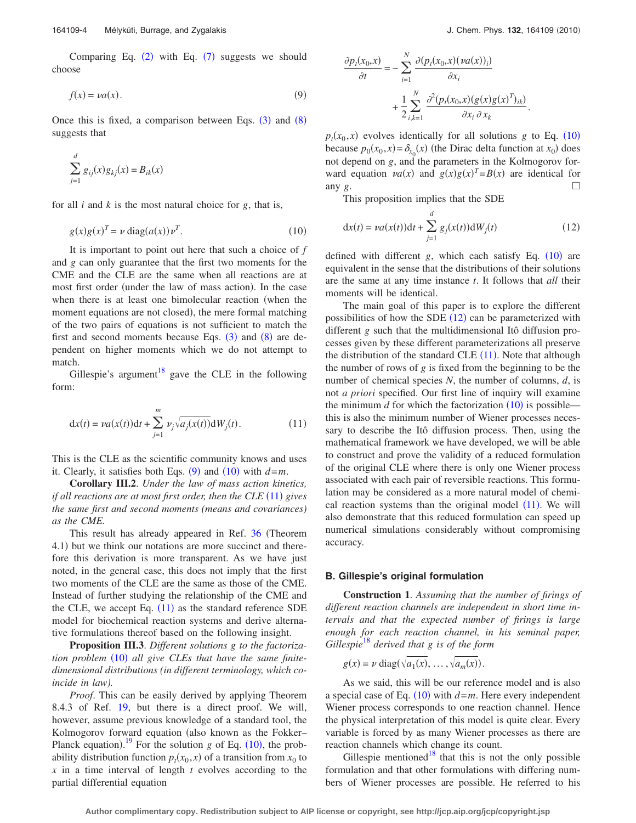Comparing Eq.  $(2)$  $(2)$  $(2)$  with Eq.  $(7)$  $(7)$  $(7)$  suggests we should choose

<span id="page-3-0"></span>
$$
f(x) = \nu a(x). \tag{9}
$$

Once this is fixed, a comparison between Eqs.  $(3)$  $(3)$  $(3)$  and  $(8)$  $(8)$  $(8)$ suggests that

$$
\sum_{j=1}^{d} g_{ij}(x)g_{kj}(x) = B_{ik}(x)
$$

<span id="page-3-1"></span>for all *i* and *k* is the most natural choice for *g*, that is,

$$
g(x)g(x)^{T} = \nu \operatorname{diag}(a(x))\nu^{T}.
$$
 (10)

It is important to point out here that such a choice of *f* and *g* can only guarantee that the first two moments for the CME and the CLE are the same when all reactions are at most first order (under the law of mass action). In the case when there is at least one bimolecular reaction (when the moment equations are not closed), the mere formal matching of the two pairs of equations is not sufficient to match the first and second moments because Eqs.  $(3)$  $(3)$  $(3)$  and  $(8)$  $(8)$  $(8)$  are dependent on higher moments which we do not attempt to match.

Gillespie's argument<sup>18</sup> gave the CLE in the following form:

<span id="page-3-2"></span>
$$
dx(t) = \nu a(x(t))dt + \sum_{j=1}^{m} \nu_j \sqrt{a_j(x(t))}dW_j(t).
$$
 (11)

This is the CLE as the scientific community knows and uses it. Clearly, it satisfies both Eqs.  $(9)$  $(9)$  $(9)$  and  $(10)$  $(10)$  $(10)$  with  $d=m$ .

**Corollary III.2**. *Under the law of mass action kinetics, if all reactions are at most first order, then the CLE* ([11](#page-3-2)) gives *the same first and second moments (means and covariances) as the CME.*

This result has already appeared in Ref. [36](#page-11-31) (Theorem 4.1) but we think our notations are more succinct and therefore this derivation is more transparent. As we have just noted, in the general case, this does not imply that the first two moments of the CLE are the same as those of the CME. Instead of further studying the relationship of the CME and the CLE, we accept Eq.  $(11)$  $(11)$  $(11)$  as the standard reference SDE model for biochemical reaction systems and derive alternative formulations thereof based on the following insight.

**Proposition III.3**. *Different solutions g to the factoriza-*tion problem ([10](#page-3-1)) all give CLEs that have the same finite*dimensional distributions (in different terminology, which coincide in law).*

*Proof*. This can be easily derived by applying Theorem 8.4.3 of Ref. [19,](#page-11-15) but there is a direct proof. We will, however, assume previous knowledge of a standard tool, the Kolmogorov forward equation (also known as the Fokker– Planck equation).<sup>[19](#page-11-15)</sup> For the solution *g* of Eq.  $(10)$  $(10)$  $(10)$ , the probability distribution function  $p_t(x_0, x)$  of a transition from  $x_0$  to *x* in a time interval of length *t* evolves according to the partial differential equation

$$
\frac{\partial p_t(x_0, x)}{\partial t} = -\sum_{i=1}^N \frac{\partial (p_t(x_0, x)(va(x))_i)}{\partial x_i} + \frac{1}{2} \sum_{i,k=1}^N \frac{\partial^2 (p_t(x_0, x)(g(x)g(x)^T)_{ik})}{\partial x_i \partial x_k}.
$$

 $p_t(x_0, x)$  evolves identically for all solutions *g* to Eq. ([10](#page-3-1)) because  $p_0(x_0, x) = \delta_{x_0}(x)$  (the Dirac delta function at  $x_0$ ) does not depend on *g*, and the parameters in the Kolmogorov forward equation  $va(x)$  and  $g(x)g(x)^{T}=B(x)$  are identical for any  $g$ .

This proposition implies that the SDE

<span id="page-3-3"></span>
$$
dx(t) = \nu a(x(t))dt + \sum_{j=1}^{d} g_j(x(t))dW_j(t)
$$
 (12)

defined with different  $g$ , which each satisfy Eq.  $(10)$  $(10)$  $(10)$  are equivalent in the sense that the distributions of their solutions are the same at any time instance *t*. It follows that *all* their moments will be identical.

The main goal of this paper is to explore the different possibilities of how the SDE ([12](#page-3-3)) can be parameterized with different *g* such that the multidimensional Itô diffusion processes given by these different parameterizations all preserve the distribution of the standard CLE  $(11)$  $(11)$  $(11)$ . Note that although the number of rows of *g* is fixed from the beginning to be the number of chemical species *N*, the number of columns, *d*, is not *a priori* specified. Our first line of inquiry will examine the minimum  $d$  for which the factorization  $(10)$  $(10)$  $(10)$  is possible this is also the minimum number of Wiener processes necessary to describe the Itô diffusion process. Then, using the mathematical framework we have developed, we will be able to construct and prove the validity of a reduced formulation of the original CLE where there is only one Wiener process associated with each pair of reversible reactions. This formulation may be considered as a more natural model of chemical reaction systems than the original model  $(11)$  $(11)$  $(11)$ . We will also demonstrate that this reduced formulation can speed up numerical simulations considerably without compromising accuracy.

### **B. Gillespie's original formulation**

**Construction 1**. *Assuming that the number of firings of different reaction channels are independent in short time intervals and that the expected number of firings is large enough for each reaction channel, in his seminal paper, Gillespie*[18](#page-11-14) *derived that g is of the form*

$$
g(x) = \nu \operatorname{diag}(\sqrt{a_1(x)}, \ldots, \sqrt{a_m(x)}).
$$

As we said, this will be our reference model and is also a special case of Eq.  $(10)$  $(10)$  $(10)$  with  $d=m$ . Here every independent Wiener process corresponds to one reaction channel. Hence the physical interpretation of this model is quite clear. Every variable is forced by as many Wiener processes as there are reaction channels which change its count.

Gillespie mentioned<sup>18</sup> that this is not the only possible formulation and that other formulations with differing numbers of Wiener processes are possible. He referred to his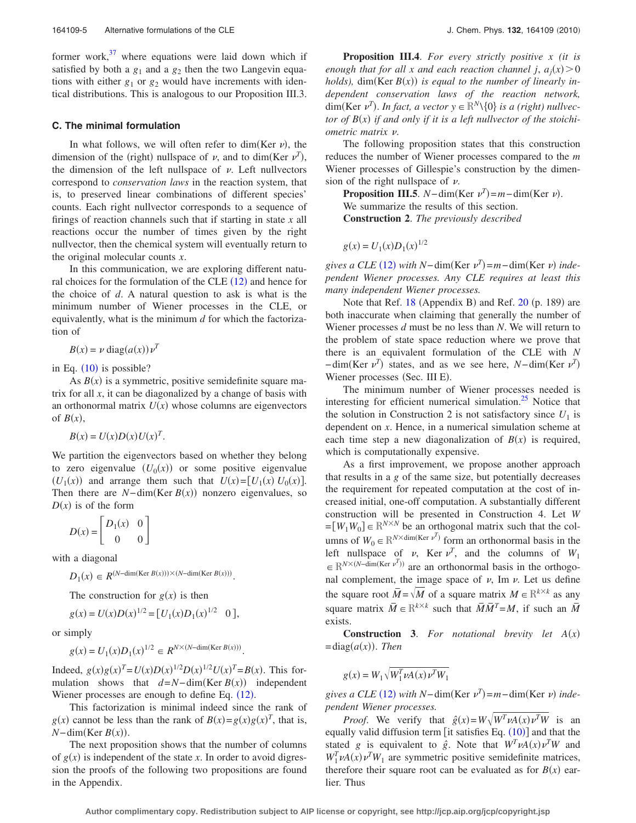former work, $37$  where equations were laid down which if satisfied by both a  $g_1$  and a  $g_2$  then the two Langevin equations with either  $g_1$  or  $g_2$  would have increments with identical distributions. This is analogous to our Proposition III.3.

### **C. The minimal formulation**

In what follows, we will often refer to dim(Ker  $\nu$ ), the dimension of the (right) nullspace of  $\nu$ , and to dim(Ker  $\nu^T$ ), the dimension of the left nullspace of  $\nu$ . Left nullvectors correspond to *conservation laws* in the reaction system, that is, to preserved linear combinations of different species' counts. Each right nullvector corresponds to a sequence of firings of reaction channels such that if starting in state *x* all reactions occur the number of times given by the right nullvector, then the chemical system will eventually return to the original molecular counts *x*.

In this communication, we are exploring different natural choices for the formulation of the CLE  $(12)$  $(12)$  $(12)$  and hence for the choice of *d*. A natural question to ask is what is the minimum number of Wiener processes in the CLE, or equivalently, what is the minimum *d* for which the factorization of

$$
B(x) = \nu \operatorname{diag}(a(x)) \nu^T
$$

in Eq.  $(10)$  $(10)$  $(10)$  is possible?

As  $B(x)$  is a symmetric, positive semidefinite square matrix for all *x*, it can be diagonalized by a change of basis with an orthonormal matrix  $U(x)$  whose columns are eigenvectors of  $B(x)$ ,

 $B(x) = U(x)D(x)U(x)^{T}$ .

We partition the eigenvectors based on whether they belong to zero eigenvalue  $(U_0(x))$  or some positive eigenvalue  $(U_1(x))$  and arrange them such that  $U(x) = [U_1(x) U_0(x)].$ Then there are  $N$ -dim(Ker  $B(x)$ ) nonzero eigenvalues, so  $D(x)$  is of the form

$$
D(x) = \begin{bmatrix} D_1(x) & 0 \\ 0 & 0 \end{bmatrix}
$$

with a diagonal

 $D_1(x) \in R^{(N-\dim(\text{Ker }B(x)))\times(N-\dim(\text{Ker }B(x)))}$ .

The construction for  $g(x)$  is then

$$
g(x) = U(x)D(x)^{1/2} = [U_1(x)D_1(x)^{1/2} \quad 0],
$$

or simply

$$
g(x) = U_1(x)D_1(x)^{1/2} \in R^{N \times (N - \dim(\text{Ker } B(x)))}.
$$

Indeed,  $g(x)g(x)^{T} = U(x)D(x)^{1/2}D(x)^{1/2}U(x)^{T} = B(x)$ . This formulation shows that  $d = N - \dim(\text{Ker } B(x))$  independent Wiener processes are enough to define Eq. ([12](#page-3-3)).

This factorization is minimal indeed since the rank of  $g(x)$  cannot be less than the rank of  $B(x) = g(x)g(x)^{T}$ , that is, *N*−dim(Ker *B*(*x*)).

The next proposition shows that the number of columns of  $g(x)$  is independent of the state *x*. In order to avoid digression the proofs of the following two propositions are found in the Appendix.

**Proposition III.4**. *For every strictly positive x (it is enough that for all x and each reaction channel j,*  $a_j(x) > 0$ holds),  $\dim(\text{Ker } B(x))$  is equal to the number of linearly in*dependent conservation laws of the reaction network,*  $\dim(\text{Ker }\nu^T)$ . *In fact, a vector*  $y \in \mathbb{R}^N \setminus \{0\}$  *is a (right) nullvector of*  $B(x)$  *if and only if it is a left nullvector of the stoichi*ometric matrix v.

The following proposition states that this construction reduces the number of Wiener processes compared to the *m* Wiener processes of Gillespie's construction by the dimension of the right nullspace of  $\nu$ .

**Proposition III.5**. *N*−dim(Ker  $\nu^T$ )=*m*−dim(Ker  $\nu$ ). We summarize the results of this section. **Construction 2**. *The previously described*

 $g(x) = U_1(x)D_1(x)^{1/2}$ 

 $gives a CLE (12) with N-dim(Ker  $v^T$ ) = m-dim(Ker  $v$ ) inde gives a CLE (12) with N-dim(Ker  $v^T$ ) = m-dim(Ker  $v$ ) inde gives a CLE (12) with N-dim(Ker  $v^T$ ) = m-dim(Ker  $v$ ) inde$ *pendent Wiener processes. Any CLE requires at least this many independent Wiener processes.*

Note that Ref.  $18$  (Appendix B) and Ref.  $20$  (p. 189) are both inaccurate when claiming that generally the number of Wiener processes *d* must be no less than *N*. We will return to the problem of state space reduction where we prove that there is an equivalent formulation of the CLE with *N*  $-\dim(\text{Ker }\nu^T)$  states, and as we see here, *N* $-\dim(\text{Ker }\nu^T)$ Wiener processes (Sec. III E).

The minimum number of Wiener processes needed is interesting for efficient numerical simulation. $25$  Notice that the solution in Construction 2 is not satisfactory since  $U_1$  is dependent on *x*. Hence, in a numerical simulation scheme at each time step a new diagonalization of  $B(x)$  is required, which is computationally expensive.

As a first improvement, we propose another approach that results in a *g* of the same size, but potentially decreases the requirement for repeated computation at the cost of increased initial, one-off computation. A substantially different construction will be presented in Construction 4. Let *W*  $=[W_1W_0] \in \mathbb{R}^{N \times N}$  be an orthogonal matrix such that the columns of  $W_0 \in \mathbb{R}^{N \times \dim(\text{Ker } \nu^T)}$  form an orthonormal basis in the left nullspace of  $\nu$ , Ker  $\nu^T$ , and the columns of  $W_1$  $\in \mathbb{R}^{N \times (N-\dim(\text{Ker }\nu^T))}$  are an orthonormal basis in the orthogonal complement, the image space of  $\nu$ , Im  $\nu$ . Let us define the square root  $\overline{M} = \sqrt{M}$  of a square matrix  $M \in \mathbb{R}^{k \times k}$  as any square matrix  $\overline{M} \in \mathbb{R}^{k \times k}$  such that  $\overline{M}\overline{M}^T = M$ , if such an  $\overline{M}$ exists.

**Construction 3.** For notational brevity let  $A(x)$  $=$ diag $(a(x))$ . *Then* 

 $g(x) = W_1 \sqrt{W_1^T \nu A(x) \nu^T W_1}$ 

 $gives a CLE (12) with N-dim(Ker  $v^T$ ) = m-dim(Ker  $v$ ) inde gives a CLE (12) with N-dim(Ker  $v^T$ ) = m-dim(Ker  $v$ ) inde gives a CLE (12) with N-dim(Ker  $v^T$ ) = m-dim(Ker  $v$ ) inde$ *pendent Wiener processes.*

*Proof.* We verify that  $\hat{g}(x) = W\sqrt{W^T \nu A(x) \nu^T W}$  is an equally valid diffusion term [it satisfies Eq.  $(10)$  $(10)$  $(10)$ ] and that the stated *g* is equivalent to  $\hat{g}$ . Note that  $W^T \nu A(x) \nu^T W$  and  $W_1^T \nu A(x) \nu^T W_1$  are symmetric positive semidefinite matrices, therefore their square root can be evaluated as for  $B(x)$  earlier. Thus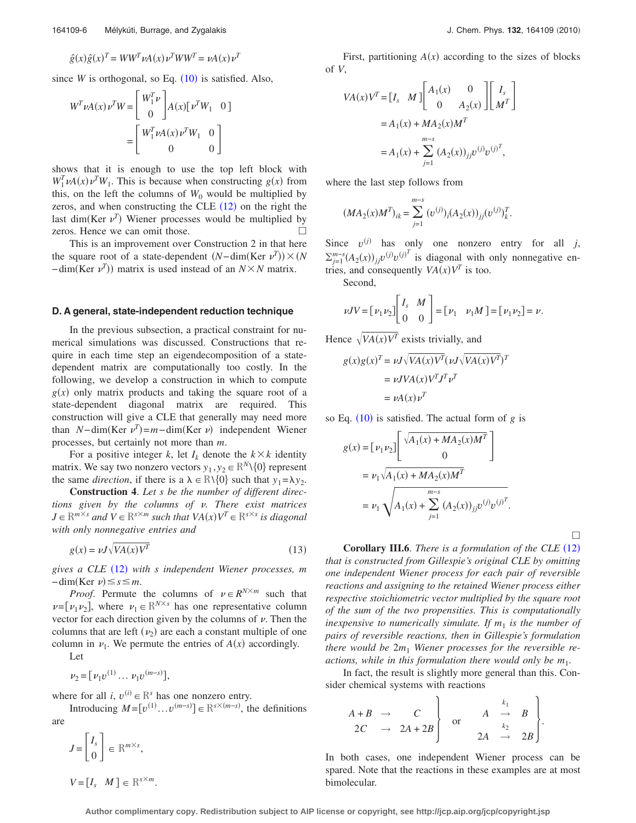$$
\hat{g}(x)\hat{g}(x)^{T} = WW^{T} \nu A(x) \nu^{T} WW^{T} = \nu A(x) \nu^{T}
$$

since *W* is orthogonal, so Eq.  $(10)$  $(10)$  $(10)$  is satisfied. Also,

$$
W^T \nu A(x) \nu^T W = \begin{bmatrix} W_1^T \nu \\ 0 \end{bmatrix} A(x) \begin{bmatrix} \nu^T W_1 & 0 \end{bmatrix}
$$

$$
= \begin{bmatrix} W_1^T \nu A(x) \nu^T W_1 & 0 \\ 0 & 0 \end{bmatrix}
$$

shows that it is enough to use the top left block with  $W_1^T \nu A(x) \nu^T W_1$ . This is because when constructing *g*(*x*) from this, on the left the columns of  $W_0$  would be multiplied by zeros, and when constructing the CLE  $(12)$  $(12)$  $(12)$  on the right the last dim(Ker  $\nu^T$ ) Wiener processes would be multiplied by zeros. Hence we can omit those.

This is an improvement over Construction 2 in that here the square root of a state-dependent  $(N - \dim(Ker \nu^T)) \times (N$  $-\dim(\text{Ker } \nu^T)$  matrix is used instead of an  $N \times N$  matrix.

#### **D. A general, state-independent reduction technique**

In the previous subsection, a practical constraint for numerical simulations was discussed. Constructions that require in each time step an eigendecomposition of a statedependent matrix are computationally too costly. In the following, we develop a construction in which to compute  $g(x)$  only matrix products and taking the square root of a state-dependent diagonal matrix are required. This construction will give a CLE that generally may need more than *N*−dim(Ker  $\nu^T$ )=*m*−dim(Ker  $\nu$ ) independent Wiener processes, but certainly not more than *m*.

For a positive integer *k*, let  $I_k$  denote the  $k \times k$  identity matrix. We say two nonzero vectors  $y_1, y_2 \in \mathbb{R}^N \setminus \{0\}$  represent the same *direction*, if there is a  $\lambda \in \mathbb{R} \setminus \{0\}$  such that  $y_1 = \lambda y_2$ .

**Construction 4**. *Let s be the number of different direc*tions given by the columns of v. There exist matrices  $J \in \mathbb{R}^{m \times s}$  and  $V \in \mathbb{R}^{s \times m}$  such that  $VA(x)V^T \in \mathbb{R}^{s \times s}$  is diagonal *with only nonnegative entries and*

<span id="page-5-0"></span>
$$
g(x) = \nu J \sqrt{VA(x)V^T}
$$
\n(13)

gives a CLE ([12](#page-3-3)) with s independent Wiener processes, m  $-\dim(\text{Ker } \nu) \leq s \leq m.$ 

*Proof.* Permute the columns of  $v \in R^{N \times m}$  such that  $\nu = [\nu_1 \nu_2]$ , where  $\nu_1 \in \mathbb{R}^{N \times s}$  has one representative column vector for each direction given by the columns of  $\nu$ . Then the columns that are left  $(\nu_2)$  are each a constant multiple of one column in  $\nu_1$ . We permute the entries of  $A(x)$  accordingly.

Let

$$
\nu_2 = [\nu_1 v^{(1)} \dots \nu_1 v^{(m-s)}],
$$

where for all *i*,  $v^{(i)} \in \mathbb{R}^s$  has one nonzero entry.

Introducing  $M = [v^{(1)} \dots v^{(m-s)}] \in \mathbb{R}^{s \times (m-s)}$ , the definitions are

$$
J = \begin{bmatrix} I_s \\ 0 \end{bmatrix} \in \mathbb{R}^{m \times s},
$$

 $V = [I_s \quad M] \in \mathbb{R}^{s \times m}$ .

First, partitioning  $A(x)$  according to the sizes of blocks of *V*,

$$
VA(x)V^{T} = [I_{s} \quad M] \begin{bmatrix} A_{1}(x) & 0 \\ 0 & A_{2}(x) \end{bmatrix} \begin{bmatrix} I_{s} \\ M^{T} \end{bmatrix}
$$
  
=  $A_{1}(x) + MA_{2}(x)M^{T}$   
=  $A_{1}(x) + \sum_{j=1}^{m-s} (A_{2}(x))_{jj}v^{(j)}v^{(j)^{T}},$ 

where the last step follows from

$$
(MA_2(x)M^T)_{ik} = \sum_{j=1}^{m-s} (v^{(j)})_i (A_2(x))_{jj} (v^{(j)})_k^T.
$$

Since  $v^{(j)}$  has only one nonzero entry for all *j*,  $\sum_{j=1}^{m-s} (A_2(x))_{jj} v^{(j)} v^{(j)}$  is diagonal with only nonnegative entries, and consequently  $VA(x)V^T$  is too.

Second,

$$
\nu JV = \begin{bmatrix} \nu_1 \nu_2 \end{bmatrix} \begin{bmatrix} I_s & M \\ 0 & 0 \end{bmatrix} = \begin{bmatrix} \nu_1 & \nu_1 M \end{bmatrix} = \begin{bmatrix} \nu_1 \nu_2 \end{bmatrix} = \nu.
$$

Hence  $\sqrt{VA(x)V^T}$  exists trivially, and

$$
g(x)g(x)^{T} = \nu J \sqrt{VA(x)V^{T}} (\nu J \sqrt{VA(x)V^{T}})^{T}
$$

$$
= \nu JVA(x)V^{T}J^{T}\nu^{T}
$$

$$
= \nu A(x)\nu^{T}
$$

so Eq.  $(10)$  $(10)$  $(10)$  is satisfied. The actual form of *g* is

$$
g(x) = \left[\nu_1 \nu_2\right] \left[\begin{array}{c} \sqrt{A_1(x) + MA_2(x)M^T} \\ 0 \end{array}\right]
$$
  
=  $\nu_1 \sqrt{A_1(x) + MA_2(x)M^T}$   
=  $\nu_1 \sqrt{A_1(x) + \sum_{j=1}^{m-s} (A_2(x))_{jj} v^{(j)} v^{(j)^T}}$ .

**Corollary III.6**. *There is a formulation of the CLE* ([12](#page-3-3)) *that is constructed from Gillespie's original CLE by omitting one independent Wiener process for each pair of reversible reactions and assigning to the retained Wiener process either respective stoichiometric vector multiplied by the square root of the sum of the two propensities. This is computationally inexpensive to numerically simulate. If*  $m_1$  *is the number of pairs of reversible reactions, then in Gillespie's formulation there would be* 2*m*<sup>1</sup> *Wiener processes for the reversible reactions, while in this formulation there would only be m*1.

 $\Box$ 

In fact, the result is slightly more general than this. Consider chemical systems with reactions

$$
\begin{array}{ccc}\nA+B & \to & C \\
2C & \to & 2A+2B\n\end{array}\n\quad \text{or} \quad\n\begin{array}{ccc}\n\begin{array}{ccc}\nk_1 & & B \\
\to & B \\
2A & \to & 2B\n\end{array}\n\end{array}.
$$

In both cases, one independent Wiener process can be spared. Note that the reactions in these examples are at most bimolecular.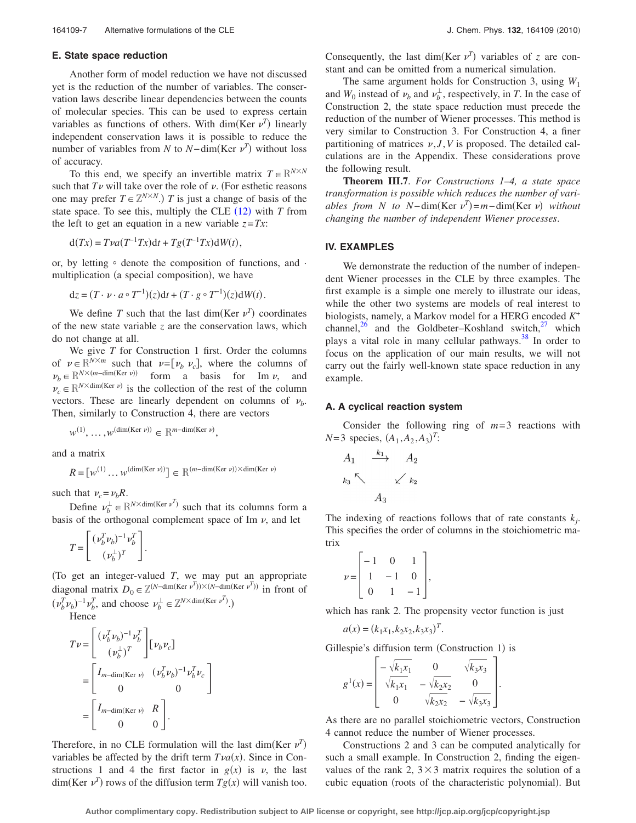## **E. State space reduction**

Another form of model reduction we have not discussed yet is the reduction of the number of variables. The conservation laws describe linear dependencies between the counts of molecular species. This can be used to express certain variables as functions of others. With dim(Ker  $\nu^T$ ) linearly independent conservation laws it is possible to reduce the number of variables from *N* to *N*−dim(Ker  $\nu^T$ ) without loss of accuracy.

To this end, we specify an invertible matrix  $T \in \mathbb{R}^{N \times N}$ such that  $T\nu$  will take over the role of  $\nu$ . (For esthetic reasons one may prefer  $T \in \mathbb{Z}^{N \times N}$ .) *T* is just a change of basis of the state space. To see this, multiply the CLE  $(12)$  $(12)$  $(12)$  with  $T$  from the left to get an equation in a new variable  $z = Tx$ :

 $d(Tx) = T \nu a (T^{-1}Tx) dt + Tg(T^{-1}Tx) dW(t),$ 

or, by letting  $\circ$  denote the composition of functions, and  $\cdot$ multiplication (a special composition), we have

$$
dz = (T \cdot \nu \cdot a \circ T^{-1})(z)dt + (T \cdot g \circ T^{-1})(z)dW(t).
$$

We define *T* such that the last dim(Ker  $\nu^T$ ) coordinates of the new state variable *z* are the conservation laws, which do not change at all.

We give *T* for Construction 1 first. Order the columns of  $\nu \in \mathbb{R}^{N \times m}$  such that  $\nu = [\nu_b \ \nu_c]$ , where the columns of  $\nu_b \in \mathbb{R}^{N \times (m-\dim(\text{Ker } \nu))}$  form a basis for Im  $\nu$ , and  $\nu_c \in \mathbb{R}^{N \times \dim(\text{Ker } \nu)}$  is the collection of the rest of the column vectors. These are linearly dependent on columns of  $\nu_b$ . Then, similarly to Construction 4, there are vectors

 $w^{(1)}, \ldots, w^{(\dim(\text{Ker } \nu))} \in \mathbb{R}^{m-\dim(\text{Ker } \nu)},$ 

and a matrix

$$
R = [w^{(1)} \dots w^{(\dim(\text{Ker } \nu))}] \in \mathbb{R}^{(m-\dim(\text{Ker } \nu)) \times \dim(\text{Ker } \nu)}
$$

such that  $\nu_c = \nu_b R$ .

Define  $v_b^{\perp} \in \mathbb{R}^{N \times \dim(\text{Ker } v^T)}$  such that its columns form a basis of the orthogonal complement space of Im  $\nu$ , and let

$$
T\!=\!\left[\!\begin{array}{c}(\nu_b^T\nu_b)^{-1}\nu_b^T\\ (\nu_b^\perp)^T\end{array}\!\right]\!.
$$

To get an integer-valued *T*, we may put an appropriate diagonal matrix  $D_0 \in \mathbb{Z}^{(N-\dim(\text{Ker } \nu^T))\times(N-\dim(\text{Ker } \nu^T))}$  in front of  $(\nu_b^T \nu_b)^{-1} \nu_b^T$ , and choose  $\nu_b^{\perp} \in \mathbb{Z}^{N \times \dim(\text{Ker } \nu^T)}$ .) Hence

$$
T\nu = \begin{bmatrix} (\nu_b^T \nu_b)^{-1} \nu_b^T \\ (\nu_b^{\perp})^T \end{bmatrix} [\nu_b \nu_c]
$$
  
= 
$$
\begin{bmatrix} I_{m-\dim(\text{Ker } \nu)} & (\nu_b^T \nu_b)^{-1} \nu_b^T \nu_c \\ 0 & 0 \end{bmatrix}
$$
  
= 
$$
\begin{bmatrix} I_{m-\dim(\text{Ker } \nu)} & R \\ 0 & 0 \end{bmatrix}.
$$

Therefore, in no CLE formulation will the last dim(Ker  $\nu^T$ ) variables be affected by the drift term  $Tva(x)$ . Since in Constructions 1 and 4 the first factor in  $g(x)$  is  $\nu$ , the last  $\dim(\text{Ker } \nu^T)$  rows of the diffusion term  $Tg(x)$  will vanish too.

Consequently, the last dim(Ker  $v^T$ ) variables of *z* are constant and can be omitted from a numerical simulation.

The same argument holds for Construction 3, using *W*<sup>1</sup> and  $W_0$  instead of  $\nu_b$  and  $\nu_b^{\perp}$ , respectively, in *T*. In the case of Construction 2, the state space reduction must precede the reduction of the number of Wiener processes. This method is very similar to Construction 3. For Construction 4, a finer partitioning of matrices  $\nu, J, V$  is proposed. The detailed calculations are in the Appendix. These considerations prove the following result.

**Theorem III.7**. *For Constructions 1–4, a state space transformation is possible which reduces the number of vari* $ables from N to N-dim(Ker \nu<sup>T</sup>) = m-dim(Ker \nu) with out$ *changing the number of independent Wiener processes*.

### **IV. EXAMPLES**

We demonstrate the reduction of the number of independent Wiener processes in the CLE by three examples. The first example is a simple one merely to illustrate our ideas, while the other two systems are models of real interest to biologists, namely, a Markov model for a HERG encoded *K*<sup>+</sup> channel, $^{26}$  and the Goldbeter–Koshland switch, $^{27}$  which plays a vital role in many cellular pathways.<sup>38</sup> In order to focus on the application of our main results, we will not carry out the fairly well-known state space reduction in any example.

## **A. A cyclical reaction system**

Consider the following ring of  $m=3$  reactions with  $N=3$  species,  $(A_1, A_2, A_3)^T$ :

$$
A_1 \xrightarrow{k_1} A_2
$$
  
\n
$$
k_3 \nwarrow \swarrow k_2
$$
  
\n
$$
A_3
$$

The indexing of reactions follows that of rate constants  $k_i$ . This specifies the order of columns in the stoichiometric matrix

$$
\nu = \begin{bmatrix} -1 & 0 & 1 \\ 1 & -1 & 0 \\ 0 & 1 & -1 \end{bmatrix},
$$

which has rank 2. The propensity vector function is just

$$
a(x) = (k_1x_1, k_2x_2, k_3x_3)^T.
$$

Gillespie's diffusion term (Construction 1) is

$$
g^{1}(x) = \begin{bmatrix} -\sqrt{k_{1}x_{1}} & 0 & \sqrt{k_{3}x_{3}} \\ \sqrt{k_{1}x_{1}} & -\sqrt{k_{2}x_{2}} & 0 \\ 0 & \sqrt{k_{2}x_{2}} & -\sqrt{k_{3}x_{3}} \end{bmatrix}.
$$

As there are no parallel stoichiometric vectors, Construction 4 cannot reduce the number of Wiener processes.

Constructions 2 and 3 can be computed analytically for such a small example. In Construction 2, finding the eigenvalues of the rank 2,  $3 \times 3$  matrix requires the solution of a cubic equation (roots of the characteristic polynomial). But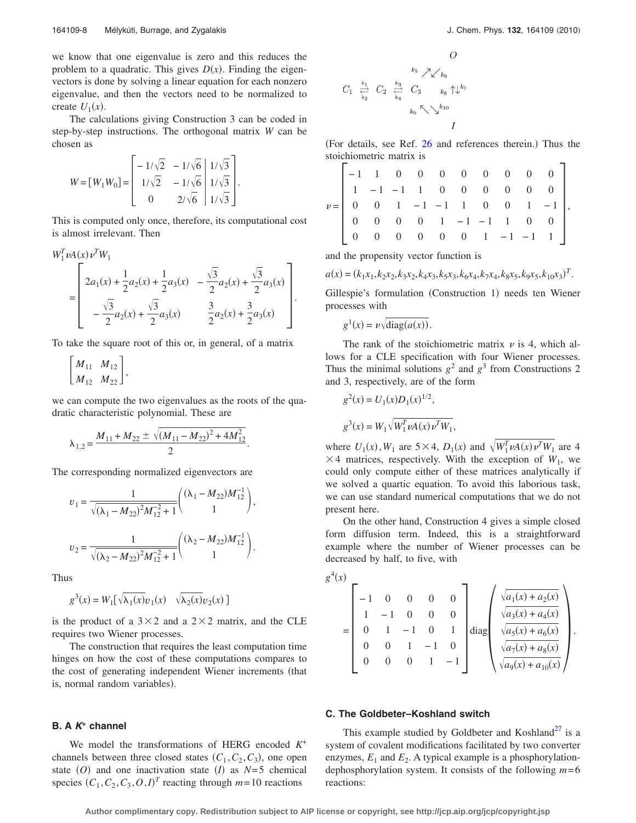we know that one eigenvalue is zero and this reduces the problem to a quadratic. This gives  $D(x)$ . Finding the eigenvectors is done by solving a linear equation for each nonzero eigenvalue, and then the vectors need to be normalized to create  $U_1(x)$ .

The calculations giving Construction 3 can be coded in step-by-step instructions. The orthogonal matrix *W* can be chosen as

$$
W = [W_1 W_0] = \begin{bmatrix} -1/\sqrt{2} & -1/\sqrt{6} & 1/\sqrt{3} \\ 1/\sqrt{2} & -1/\sqrt{6} & 1/\sqrt{3} \\ 0 & 2/\sqrt{6} & 1/\sqrt{3} \end{bmatrix}.
$$

This is computed only once, therefore, its computational cost is almost irrelevant. Then

$$
W_1^T \nu A(x) \nu^T W_1
$$
  
= 
$$
\begin{bmatrix} 2a_1(x) + \frac{1}{2}a_2(x) + \frac{1}{2}a_3(x) - \frac{\sqrt{3}}{2}a_2(x) + \frac{\sqrt{3}}{2}a_3(x) \\ -\frac{\sqrt{3}}{2}a_2(x) + \frac{\sqrt{3}}{2}a_3(x) - \frac{3}{2}a_2(x) + \frac{3}{2}a_3(x) \end{bmatrix}.
$$

To take the square root of this or, in general, of a matrix

$$
\begin{bmatrix} M_{11} & M_{12} \\ M_{12} & M_{22} \end{bmatrix},
$$

we can compute the two eigenvalues as the roots of the quadratic characteristic polynomial. These are

$$
\lambda_{1,2} = \frac{M_{11} + M_{22} \pm \sqrt{(M_{11} - M_{22})^2 + 4M_{12}^2}}{2}.
$$

The corresponding normalized eigenvectors are

$$
\begin{aligned} v_1 = \frac{1}{\sqrt{(\lambda_1 - M_{22})^2 M_{12}^{-2} + 1}} \Bigg( \frac{(\lambda_1 - M_{22}) M_{12}^{-1}}{1} \Bigg), \\ v_2 = \frac{1}{\sqrt{(\lambda_2 - M_{22})^2 M_{12}^{-2} + 1}} \Bigg( \frac{(\lambda_2 - M_{22}) M_{12}^{-1}}{1} \Bigg). \end{aligned}
$$

Thus

$$
g^3(x) = W_1[\sqrt{\lambda_1(x)}v_1(x) \quad \sqrt{\lambda_2(x)}v_2(x)]
$$

is the product of a  $3\times 2$  and a  $2\times 2$  matrix, and the CLE requires two Wiener processes.

The construction that requires the least computation time hinges on how the cost of these computations compares to the cost of generating independent Wiener increments (that is, normal random variables).

# **B. A** *K***<sup>+</sup> channel**

We model the transformations of HERG encoded *K*<sup>+</sup> channels between three closed states  $(C_1, C_2, C_3)$ , one open state  $(O)$  and one inactivation state  $(I)$  as  $N=5$  chemical species  $(C_1, C_2, C_3, O, I)^T$  reacting through  $m=10$  reactions

$$
O
$$
\n
$$
C_1 \stackrel{k_1}{\underset{k_2}{\rightleftharpoons}} C_2 \stackrel{k_3}{\underset{k_4}{\rightleftharpoons}} C_3 \stackrel{k_5}{\underset{k_6}{\rightleftharpoons}} \leftleftharpoons \atop k_7 \rightleftharpoons K_1 \downarrow k_7
$$
\n
$$
I
$$

(For details, see Ref. [26](#page-11-21) and references therein.) Thus the stoichiometric matrix is

$$
\nu = \left[\begin{array}{rrrrrrrr} -1 & 1 & 0 & 0 & 0 & 0 & 0 & 0 & 0 & 0 \\ 1 & -1 & -1 & 1 & 0 & 0 & 0 & 0 & 0 & 0 \\ 0 & 0 & 1 & -1 & -1 & 1 & 0 & 0 & 1 & -1 \\ 0 & 0 & 0 & 0 & 1 & -1 & -1 & 1 & 0 & 0 \\ 0 & 0 & 0 & 0 & 0 & 0 & 1 & -1 & -1 & 1 \end{array}\right],
$$

and the propensity vector function is

$$
a(x)=(k_1x_1,k_2x_2,k_3x_2,k_4x_3,k_5x_3,k_6x_4,k_7x_4,k_8x_5,k_9x_5,k_{10}x_3)^T.
$$

Gillespie's formulation (Construction 1) needs ten Wiener processes with

$$
g^{1}(x) = \nu \sqrt{\text{diag}(a(x))}.
$$

The rank of the stoichiometric matrix  $\nu$  is 4, which allows for a CLE specification with four Wiener processes. Thus the minimal solutions  $g^2$  and  $g^3$  from Constructions 2 and 3, respectively, are of the form

$$
g^{2}(x) = U_{1}(x)D_{1}(x)^{1/2},
$$
  

$$
g^{3}(x) = W_{1}\sqrt{W_{1}^{T}\nu A(x)\nu^{T}W_{1}},
$$

where  $U_1(x)$ ,  $W_1$  are  $5 \times 4$ ,  $D_1(x)$  and  $\sqrt{W_1^T \nu A(x) \nu^T W_1}$  are 4  $\times$  4 matrices, respectively. With the exception of  $W_1$ , we could only compute either of these matrices analytically if we solved a quartic equation. To avoid this laborious task, we can use standard numerical computations that we do not present here.

On the other hand, Construction 4 gives a simple closed form diffusion term. Indeed, this is a straightforward example where the number of Wiener processes can be decreased by half, to five, with

$$
g^{4}(x) = \begin{bmatrix} -1 & 0 & 0 & 0 & 0 \ 1 & -1 & 0 & 0 & 0 \ 0 & 1 & -1 & 0 & 1 \ 0 & 0 & 0 & 1 & -1 \ 0 & 0 & 0 & 1 & -1 \ \end{bmatrix} diag \begin{pmatrix} \sqrt{a_{1}(x) + a_{2}(x)}} \sqrt{a_{3}(x) + a_{4}(x)} \\ \sqrt{a_{5}(x) + a_{6}(x)} \\ \sqrt{a_{7}(x) + a_{8}(x)} \\ \sqrt{a_{9}(x) + a_{10}(x)} \end{pmatrix}.
$$

# **C. The Goldbeter–Koshland switch**

This example studied by Goldbeter and Koshland<sup>27</sup> is a system of covalent modifications facilitated by two converter enzymes,  $E_1$  and  $E_2$ . A typical example is a phosphorylationdephosphorylation system. It consists of the following *m*= 6 reactions: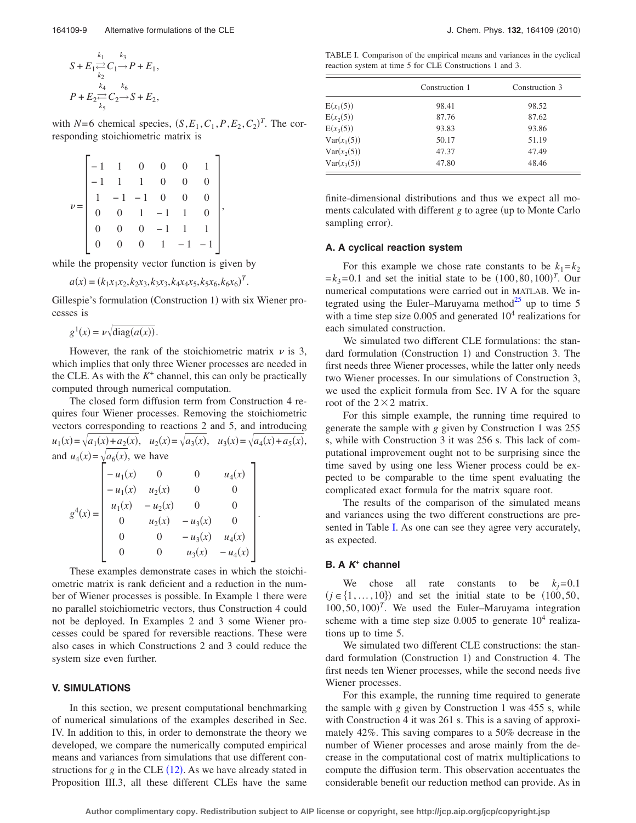$$
S + E_1 \underset{k_2}{\overset{k_1}{\rightleftharpoons}} C_1 \underset{k_5}{\overset{k_3}{\rightleftharpoons}} P + E_1,
$$
  

$$
P + E_2 \underset{k_5}{\overset{k_4}{\rightleftharpoons}} C_2 \underset{k_5}{\overset{k_6}{\rightleftharpoons}} S + E_2,
$$

with  $N=6$  chemical species,  $(S, E_1, C_1, P, E_2, C_2)^T$ . The corresponding stoichiometric matrix is

|  |  |                                                                                                                                                                   | $0 \quad 1$    |   |
|--|--|-------------------------------------------------------------------------------------------------------------------------------------------------------------------|----------------|---|
|  |  |                                                                                                                                                                   |                |   |
|  |  |                                                                                                                                                                   |                |   |
|  |  |                                                                                                                                                                   | $\overline{0}$ | , |
|  |  |                                                                                                                                                                   | 1              |   |
|  |  | $\begin{bmatrix} -1 & 1 & 0 & 0 & 0 \\ -1 & 1 & 1 & 0 & 0 \\ 1 & -1 & -1 & 0 & 0 \\ 0 & 0 & 1 & -1 & 1 \\ 0 & 0 & 0 & -1 & 1 \\ 0 & 0 & 0 & 1 & -1 \end{bmatrix}$ |                |   |
|  |  |                                                                                                                                                                   |                |   |

while the propensity vector function is given by

$$
a(x) = (k_1x_1x_2, k_2x_3, k_3x_3, k_4x_4x_5, k_5x_6, k_6x_6)^T.
$$

Gillespie's formulation (Construction 1) with six Wiener processes is

$$
g^{1}(x) = \nu \sqrt{\text{diag}(a(x))}.
$$

However, the rank of the stoichiometric matrix  $\nu$  is 3, which implies that only three Wiener processes are needed in the CLE. As with the  $K^+$  channel, this can only be practically computed through numerical computation.

The closed form diffusion term from Construction 4 requires four Wiener processes. Removing the stoichiometric vectors corresponding to reactions 2 and 5, and introducing  $u_1(x) = \sqrt{a_1(x) + a_2(x)}$ ,  $u_2(x) = \sqrt{a_3(x)}$ ,  $u_3(x) = \sqrt{a_4(x) + a_5(x)}$ , and  $u_4(x) = \sqrt{a_6(x)}$ , we have

$$
g^{4}(x) = \begin{bmatrix}\n-u_{1}(x) & 0 & 0 & u_{4}(x) \\
-u_{1}(x) & u_{2}(x) & 0 & 0 \\
u_{1}(x) & -u_{2}(x) & 0 & 0 \\
0 & u_{2}(x) & -u_{3}(x) & 0 \\
0 & 0 & -u_{3}(x) & u_{4}(x) \\
0 & 0 & u_{3}(x) & -u_{4}(x)\n\end{bmatrix}.
$$

These examples demonstrate cases in which the stoichiometric matrix is rank deficient and a reduction in the number of Wiener processes is possible. In Example 1 there were no parallel stoichiometric vectors, thus Construction 4 could not be deployed. In Examples 2 and 3 some Wiener processes could be spared for reversible reactions. These were also cases in which Constructions 2 and 3 could reduce the system size even further.

### **V. SIMULATIONS**

In this section, we present computational benchmarking of numerical simulations of the examples described in Sec. IV. In addition to this, in order to demonstrate the theory we developed, we compare the numerically computed empirical means and variances from simulations that use different constructions for  $g$  in the CLE  $(12)$  $(12)$  $(12)$ . As we have already stated in Proposition III.3, all these different CLEs have the same

<span id="page-8-0"></span>TABLE I. Comparison of the empirical means and variances in the cyclical reaction system at time 5 for CLE Constructions 1 and 3.

|               | Construction 1 | Construction 3 |
|---------------|----------------|----------------|
| $E(x_1(5))$   | 98.41          | 98.52          |
| $E(x_2(5))$   | 87.76          | 87.62          |
| $E(x_3(5))$   | 93.83          | 93.86          |
| $Var(x_1(5))$ | 50.17          | 51.19          |
| $Var(x_2(5))$ | 47.37          | 47.49          |
| $Var(x_3(5))$ | 47.80          | 48.46          |

finite-dimensional distributions and thus we expect all moments calculated with different *g* to agree (up to Monte Carlo sampling error).

### **A. A cyclical reaction system**

For this example we chose rate constants to be  $k_1 = k_2$  $=k_3 = 0.1$  and set the initial state to be  $(100, 80, 100)^T$ . Our numerical computations were carried out in MATLAB. We integrated using the Euler–Maruyama method<sup>25</sup> up to time 5 with a time step size  $0.005$  and generated  $10<sup>4</sup>$  realizations for each simulated construction.

We simulated two different CLE formulations: the standard formulation (Construction 1) and Construction 3. The first needs three Wiener processes, while the latter only needs two Wiener processes. In our simulations of Construction 3, we used the explicit formula from Sec. IV A for the square root of the  $2\times 2$  matrix.

For this simple example, the running time required to generate the sample with *g* given by Construction 1 was 255 s, while with Construction 3 it was 256 s. This lack of computational improvement ought not to be surprising since the time saved by using one less Wiener process could be expected to be comparable to the time spent evaluating the complicated exact formula for the matrix square root.

The results of the comparison of the simulated means and variances using the two different constructions are presented in Table [I.](#page-8-0) As one can see they agree very accurately, as expected.

### **B. A** *K***<sup>+</sup> channel**

We chose all rate constants to be  $k_i = 0.1$  $(j \in \{1, ..., 10\})$  and set the initial state to be  $(100, 50, ...)$  $100, 50, 100$ <sup>T</sup>. We used the Euler-Maruyama integration scheme with a time step size  $0.005$  to generate  $10<sup>4</sup>$  realizations up to time 5.

We simulated two different CLE constructions: the standard formulation (Construction 1) and Construction 4. The first needs ten Wiener processes, while the second needs five Wiener processes.

For this example, the running time required to generate the sample with *g* given by Construction 1 was 455 s, while with Construction 4 it was 261 s. This is a saving of approximately 42%. This saving compares to a 50% decrease in the number of Wiener processes and arose mainly from the decrease in the computational cost of matrix multiplications to compute the diffusion term. This observation accentuates the considerable benefit our reduction method can provide. As in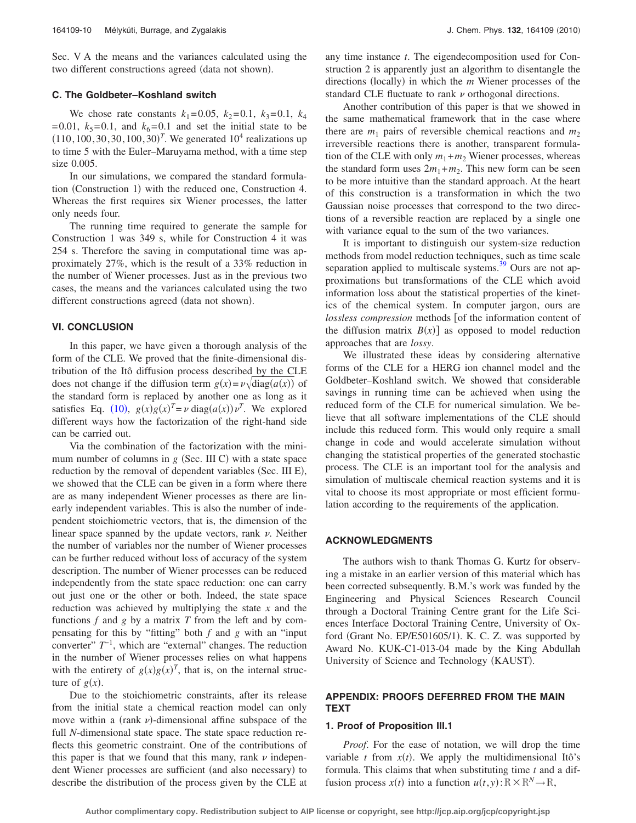Sec. V A the means and the variances calculated using the two different constructions agreed (data not shown).

### **C. The Goldbeter–Koshland switch**

We chose rate constants  $k_1 = 0.05$ ,  $k_2 = 0.1$ ,  $k_3 = 0.1$ ,  $k_4$  $= 0.01$ ,  $k_5 = 0.1$ , and  $k_6 = 0.1$  and set the initial state to be  $(110, 100, 30, 30, 100, 30)^T$ . We generated  $10^4$  realizations up to time 5 with the Euler–Maruyama method, with a time step size 0.005.

In our simulations, we compared the standard formulation (Construction 1) with the reduced one, Construction 4. Whereas the first requires six Wiener processes, the latter only needs four.

The running time required to generate the sample for Construction 1 was 349 s, while for Construction 4 it was 254 s. Therefore the saving in computational time was approximately 27%, which is the result of a 33% reduction in the number of Wiener processes. Just as in the previous two cases, the means and the variances calculated using the two different constructions agreed (data not shown).

### **VI. CONCLUSION**

In this paper, we have given a thorough analysis of the form of the CLE. We proved that the finite-dimensional distribution of the Itô diffusion process described by the CLE does not change if the diffusion term  $g(x) = v \sqrt{\text{diag}(a(x))}$  of the standard form is replaced by another one as long as it satisfies Eq. ([10](#page-3-1)),  $g(x)g(x)^{T} = \nu \text{ diag}(a(x))\nu^{T}$ . We explored different ways how the factorization of the right-hand side can be carried out.

Via the combination of the factorization with the minimum number of columns in  $g$  (Sec. III C) with a state space reduction by the removal of dependent variables (Sec. III E), we showed that the CLE can be given in a form where there are as many independent Wiener processes as there are linearly independent variables. This is also the number of independent stoichiometric vectors, that is, the dimension of the linear space spanned by the update vectors, rank  $\nu$ . Neither the number of variables nor the number of Wiener processes can be further reduced without loss of accuracy of the system description. The number of Wiener processes can be reduced independently from the state space reduction: one can carry out just one or the other or both. Indeed, the state space reduction was achieved by multiplying the state *x* and the functions *f* and *g* by a matrix *T* from the left and by compensating for this by "fitting" both *f* and *g* with an "input converter" *T*−1, which are "external" changes. The reduction in the number of Wiener processes relies on what happens with the entirety of  $g(x)g(x)^{T}$ , that is, on the internal structure of  $g(x)$ .

Due to the stoichiometric constraints, after its release from the initial state a chemical reaction model can only move within a (rank  $\nu$ )-dimensional affine subspace of the full *N*-dimensional state space. The state space reduction reflects this geometric constraint. One of the contributions of this paper is that we found that this many, rank  $\nu$  independent Wiener processes are sufficient (and also necessary) to describe the distribution of the process given by the CLE at any time instance *t*. The eigendecomposition used for Construction 2 is apparently just an algorithm to disentangle the directions (locally) in which the *m* Wiener processes of the standard CLE fluctuate to rank  $\nu$  orthogonal directions.

Another contribution of this paper is that we showed in the same mathematical framework that in the case where there are  $m_1$  pairs of reversible chemical reactions and  $m_2$ irreversible reactions there is another, transparent formulation of the CLE with only  $m_1 + m_2$  Wiener processes, whereas the standard form uses  $2m_1+m_2$ . This new form can be seen to be more intuitive than the standard approach. At the heart of this construction is a transformation in which the two Gaussian noise processes that correspond to the two directions of a reversible reaction are replaced by a single one with variance equal to the sum of the two variances.

It is important to distinguish our system-size reduction methods from model reduction techniques, such as time scale separation applied to multiscale systems.<sup>39</sup> Ours are not approximations but transformations of the CLE which avoid information loss about the statistical properties of the kinetics of the chemical system. In computer jargon, ours are *lossless compression* methods [of the information content of the diffusion matrix  $B(x)$  as opposed to model reduction approaches that are *lossy*.

We illustrated these ideas by considering alternative forms of the CLE for a HERG ion channel model and the Goldbeter–Koshland switch. We showed that considerable savings in running time can be achieved when using the reduced form of the CLE for numerical simulation. We believe that all software implementations of the CLE should include this reduced form. This would only require a small change in code and would accelerate simulation without changing the statistical properties of the generated stochastic process. The CLE is an important tool for the analysis and simulation of multiscale chemical reaction systems and it is vital to choose its most appropriate or most efficient formulation according to the requirements of the application.

### **ACKNOWLEDGMENTS**

The authors wish to thank Thomas G. Kurtz for observing a mistake in an earlier version of this material which has been corrected subsequently. B.M.'s work was funded by the Engineering and Physical Sciences Research Council through a Doctoral Training Centre grant for the Life Sciences Interface Doctoral Training Centre, University of Oxford (Grant No. EP/E501605/1). K. C. Z. was supported by Award No. KUK-C1-013-04 made by the King Abdullah University of Science and Technology (KAUST).

# **APPENDIX: PROOFS DEFERRED FROM THE MAIN TEXT**

### **1. Proof of Proposition III.1**

*Proof*. For the ease of notation, we will drop the time variable *t* from  $x(t)$ . We apply the multidimensional Itô's formula. This claims that when substituting time *t* and a diffusion process  $x(t)$  into a function  $u(t, y)$ :  $\mathbb{R} \times \mathbb{R}^N \rightarrow \mathbb{R}$ ,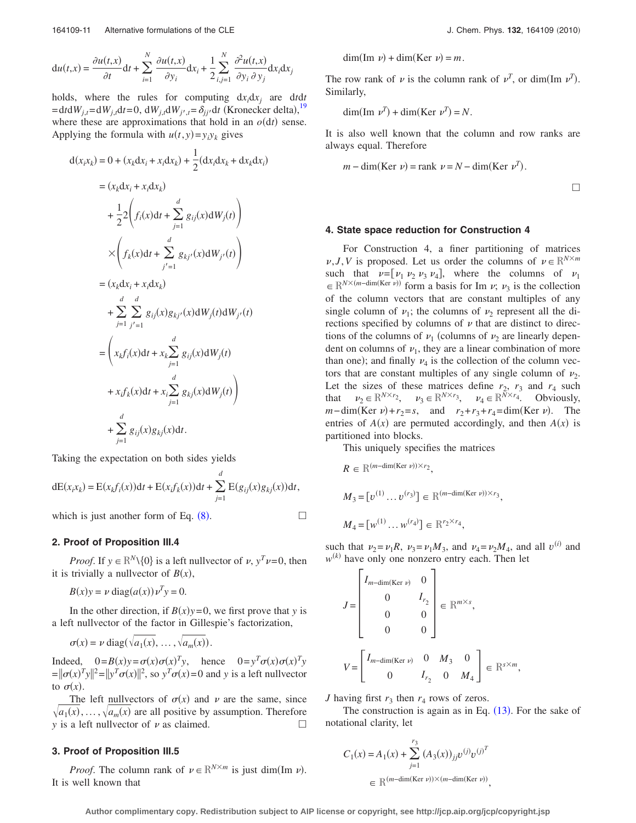$$
du(t,x) = \frac{\partial u(t,x)}{\partial t}dt + \sum_{i=1}^{N} \frac{\partial u(t,x)}{\partial y_i}dx_i + \frac{1}{2} \sum_{i,j=1}^{N} \frac{\partial^2 u(t,x)}{\partial y_i \partial y_j}dx_i dx_j
$$

holds, where the rules for computing  $dx_i dx_j$  are  $dt dt_j$  $=$ d*t*d $W_{j,t}$ =d $W_{j,t}$ d*t*=0, d $W_{j,t}$ d $W_{j',t}$ = $\delta_{jj'}$ d*t* (Kronecker delta),<sup>[19](#page-11-15)</sup> where these are approximations that hold in an  $o(dt)$  sense. Applying the formula with  $u(t, y) = y_i y_k$  gives

$$
d(x_{i}x_{k}) = 0 + (x_{k}dx_{i} + x_{i}dx_{k}) + \frac{1}{2}(dx_{i}dx_{k} + dx_{k}dx_{i})
$$
  
\n
$$
= (x_{k}dx_{i} + x_{i}dx_{k})
$$
  
\n
$$
+ \frac{1}{2}2\left(f_{i}(x)dt + \sum_{j=1}^{d} g_{ij}(x)dW_{j}(t)\right)
$$
  
\n
$$
\times \left(f_{k}(x)dt + \sum_{j'=1}^{d} g_{kj'}(x)dW_{j'}(t)\right)
$$
  
\n
$$
= (x_{k}dx_{i} + x_{i}dx_{k})
$$
  
\n
$$
+ \sum_{j=1}^{d} \sum_{j'=1}^{d} g_{ij}(x)g_{kj'}(x)dW_{j}(t)dW_{j'}(t)
$$
  
\n
$$
= \left(x_{k}f_{i}(x)dt + x_{k}\sum_{j=1}^{d} g_{ij}(x)dW_{j}(t)\right)
$$
  
\n
$$
+ x_{i}f_{k}(x)dt + x_{i}\sum_{j=1}^{d} g_{kj}(x)dW_{j}(t)
$$
  
\n
$$
+ \sum_{j=1}^{d} g_{ij}(x)g_{kj}(x)dt.
$$

Taking the expectation on both sides yields

$$
dE(x_i x_k) = E(x_k f_i(x))dt + E(x_i f_k(x))dt + \sum_{j=1}^d E(g_{ij}(x)g_{kj}(x))dt,
$$

which is just another form of Eq.  $(8)$  $(8)$  $(8)$ . .

### **2. Proof of Proposition III.4**

*Proof.* If  $y \in \mathbb{R}^N \setminus \{0\}$  is a left nullvector of  $\nu$ ,  $y^T \nu = 0$ , then it is trivially a nullvector of  $B(x)$ ,

 $B(x)y = \nu \text{ diag}(a(x)) \nu^T y = 0.$ 

In the other direction, if  $B(x)y=0$ , we first prove that *y* is a left nullvector of the factor in Gillespie's factorization,

$$
\sigma(x) = \nu \operatorname{diag}(\sqrt{a_1(x)}, \ldots, \sqrt{a_m(x)}).
$$

Indeed,  $0=B(x)y = \sigma(x)\sigma(x)^{T}y$ , hence  $0=y^{T}\sigma(x)\sigma(x)^{T}y$  $=\|\sigma(x)^T y\|^2 = \|y^T \sigma(x)\|^2$ , so  $y^T \sigma(x) = 0$  and *y* is a left nullvector to  $\sigma(x)$ .

The left nullvectors of  $\sigma(x)$  and  $\nu$  are the same, since  $\sqrt{a_1(x)}, \ldots, \sqrt{a_m(x)}$  are all positive by assumption. Therefore *y* is a left nullvector of  $\nu$  as claimed.

### **3. Proof of Proposition III.5**

*Proof.* The column rank of  $\nu \in \mathbb{R}^{N \times m}$  is just dim(Im  $\nu$ ). It is well known that

 $\dim(\text{Im }\nu) + \dim(\text{Ker }\nu) = m.$ 

The row rank of  $\nu$  is the column rank of  $\nu^T$ , or dim(Im  $\nu^T$ ). Similarly,

 $\dim(\text{Im }\nu^T) + \dim(\text{Ker }\nu^T) = N.$ 

It is also well known that the column and row ranks are always equal. Therefore

$$
m - \dim(\text{Ker } \nu) = \text{rank } \nu = N - \dim(\text{Ker } \nu^T).
$$

 $\Box$ 

#### **4. State space reduction for Construction 4**

For Construction 4, a finer partitioning of matrices  $\nu, J, V$  is proposed. Let us order the columns of  $\nu \in \mathbb{R}^{N \times m}$ such that  $\nu = [\nu_1 \nu_2 \nu_3 \nu_4]$ , where the columns of  $\nu_1$  $\in \mathbb{R}^{N \times (m-\dim(\text{Ker } \nu))}$  form a basis for Im  $\nu$ ;  $\nu_3$  is the collection of the column vectors that are constant multiples of any single column of  $\nu_1$ ; the columns of  $\nu_2$  represent all the directions specified by columns of  $\nu$  that are distinct to directions of the columns of  $\nu_1$  (columns of  $\nu_2$  are linearly dependent on columns of  $\nu_1$ , they are a linear combination of more than one); and finally  $\nu_4$  is the collection of the column vectors that are constant multiples of any single column of  $\nu_2$ . Let the sizes of these matrices define  $r_2$ ,  $r_3$  and  $r_4$  such that  $v_2 \in \mathbb{R}^{N \times r_2}$ ,  $v_3 \in \mathbb{R}^{N \times r_3}$ ,  $v_4 \in \mathbb{R}^{N \times r_4}$ . Obviously,  $m$ −dim(Ker  $\nu$ )+ $r_2$ =*s*, and  $r_2$ + $r_3$ + $r_4$ =dim(Ker  $\nu$ ). The entries of  $A(x)$  are permuted accordingly, and then  $A(x)$  is partitioned into blocks.

This uniquely specifies the matrices

$$
R \in \mathbb{R}^{(m-\dim(\text{Ker } \nu)) \times r_2},
$$
  
\n
$$
M_3 = [v^{(1)} \dots v^{(r_3)}] \in \mathbb{R}^{(m-\dim(\text{Ker } \nu)) \times r_3},
$$
  
\n
$$
M_4 = [w^{(1)} \dots w^{(r_4)}] \in \mathbb{R}^{r_2 \times r_4},
$$

such that  $\nu_2 = \nu_1 R$ ,  $\nu_3 = \nu_1 M_3$ , and  $\nu_4 = \nu_2 M_4$ , and all  $v^{(i)}$  and  $w^{(k)}$  have only one nonzero entry each. Then let

$$
J = \begin{bmatrix} I_{m-\dim(\text{Ker } \nu)} & 0 \\ 0 & I_{r_2} \\ 0 & 0 \\ 0 & 0 \end{bmatrix} \in \mathbb{R}^{m \times s},
$$
  

$$
V = \begin{bmatrix} I_{m-\dim(\text{Ker } \nu)} & 0 & M_3 & 0 \\ 0 & I_{r_2} & 0 & M_4 \end{bmatrix} \in \mathbb{R}^{s \times m},
$$

*J* having first  $r_3$  then  $r_4$  rows of zeros.

The construction is again as in Eq.  $(13)$  $(13)$  $(13)$ . For the sake of notational clarity, let

$$
C_1(x) = A_1(x) + \sum_{j=1}^{r_3} (A_3(x))_{jj} v^{(j)} v^{(j)^T}
$$
  

$$
\in \mathbb{R}^{(m-\dim(\text{Ker } v)) \times (m-\dim(\text{Ker } v))},
$$